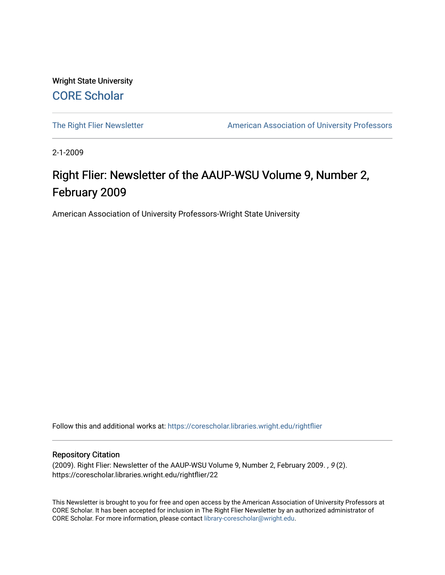Wright State University [CORE Scholar](https://corescholar.libraries.wright.edu/)

[The Right Flier Newsletter](https://corescholar.libraries.wright.edu/rightflier) **American Association of University Professors** 

2-1-2009

### Right Flier: Newsletter of the AAUP-WSU Volume 9, Number 2, February 2009

American Association of University Professors-Wright State University

Follow this and additional works at: [https://corescholar.libraries.wright.edu/rightflier](https://corescholar.libraries.wright.edu/rightflier?utm_source=corescholar.libraries.wright.edu%2Frightflier%2F22&utm_medium=PDF&utm_campaign=PDFCoverPages) 

#### Repository Citation

(2009). Right Flier: Newsletter of the AAUP-WSU Volume 9, Number 2, February 2009. , 9 (2). https://corescholar.libraries.wright.edu/rightflier/22

This Newsletter is brought to you for free and open access by the American Association of University Professors at CORE Scholar. It has been accepted for inclusion in The Right Flier Newsletter by an authorized administrator of CORE Scholar. For more information, please contact [library-corescholar@wright.edu](mailto:library-corescholar@wright.edu).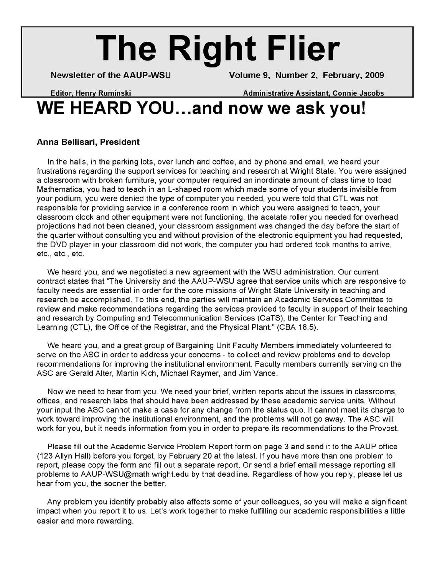# **The Right Flier**

**Newsletter of the AAUP-WSU Volume 9, Number 2, February, 2009** 

**Editor Henry Ruminski Administrative Assistant Connie Jacobs** 

# WE HEARD YOU...and now we ask you!

#### **Anna Bellisari, President**

In the halls, in the parking lots, over lunch and coffee, and by phone and email, we heard your frustrations regarding the support services for teaching and research at Wright State. You were assigned a classroom with broken furniture, your computer required an inordinate amount of class time to load Mathematica, you had to teach in an L-shaped room which made some of your students invisible from your podium, you were denied the type of computer you needed, you were told that CTL was not responsible for providing service in a conference room in which you were assigned to teach, your classroom clock and other equipment were not functioning, the acetate roller you needed for overhead projections had not been cleaned, your classroom assignment was changed the day before the start of the quarter without consulting you and without provision of the electronic equipment you had requested, the DVD player in your classroom did not work, the computer you had ordered took months to arrive, etc., etc., etc.

We heard you, and we negotiated a new agreement with the WSU administration. Our current contract states that "The University and the AAUP-WSU agree that service units which are responsive to faculty needs are essential in order for the core missions of Wright State University in teaching and research be accomplished. To this end, the parties will maintain an Academic Services Committee to review and make recommendations regarding the services provided to faculty in support of their teaching and research by Computing and Telecommunication Services (CaTS), the Center for Teaching and Learning (CTL), the Office of the Registrar, and the Physical Plant." (CBA 18.5).

We heard you, and a great group of Bargaining Unit Faculty Members immediately volunteered to serve on the ASC in order to address your concerns - to collect and review problems and to develop recommendations for improving the institutional environment. Faculty members currently serving on the ASC are Gerald Alter, Martin Kich, Michael Raymer, and Jim Vance.

Now we need to hear from you. We need your brief, written reports about the issues in classrooms, offices, and research labs that should have been addressed by these academic service units. Without your input the ASC cannot make a case for any change from the status quo. It cannot meet its charge to work toward improving the institutional environment, and the problems will not go away. The ASC will work for you, but it needs information from you in order to prepare its recommendations to the Provost.

Please fill out the Academic Service Problem Report form on page 3 and send it to the AAUP office (123 Allyn Hall) before you forget, by February 20 at the latest. If you have more than one problem to report, please copy the form and fill out a separate report. Or send a brief email message reporting all problems to AAUP-WSU@math.wright.edu by that deadline. Regardless of how you reply, please let us hear from you, the sooner the better.

Any problem you identify probably also affects some of your colleagues, so you will make a significant impact when you report it to us. Let's work together to make fulfilling our academic responsibilities a little easier and more rewarding.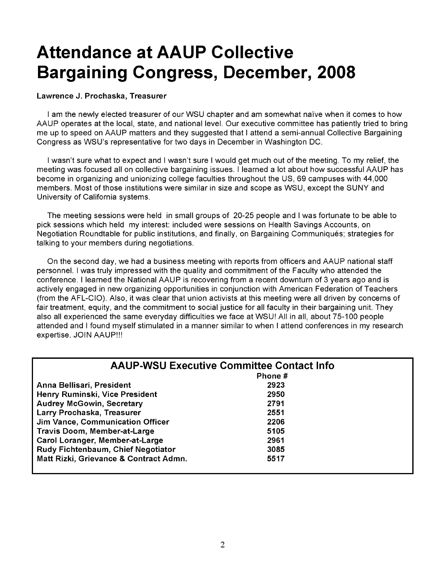## **Attendance at AAUP Collective Bargaining Congress, December, 2008**

#### Lawrence J. Prochaska, Treasurer

I am the newly elected treasurer of our WSU chapter and am somewhat naïve when it comes to how AAUP operates at the local, state, and national level. Our executive committee has patiently tried to bring me up to speed on AAUP matters and they suggested that I attend a semi-annual Collective Bargaining Congress as WSU's representative for two days in December in Washington DC.

I wasn't sure what to expect and I wasn't sure I would get much out of the meeting. To my relief, the meeting was focused all on collective bargaining issues. I learned a lot about how successful AAUP has become in organizing and unionizing college faculties throughout the US, 69 campuses with 44,000 members. Most of those institutions were similar in size and scope as WSU, except the SUNY and University of California systems.

The meeting sessions were held in small groups of 20-25 people and I was fortunate to be able to pick sessions which held my interest: included were sessions on Health Savings Accounts, on Negotiation Roundtable for public institutions, and finally, on Bargaining Communiques; strategies for talking to your members during negotiations.

On the second day, we had a business meeting with reports from officers and AAUP national staff personnel. I was truly impressed with the quality and commitment of the Faculty who attended the conference. I learned the National AAUP is recovering from a recent downturn of 3 years ago and is actively engaged in new organizing opportunities in conjunction with American Federation of Teachers (from the AFL-CIO). Also, it was clear that union activists at this meeting were all driven by concerns of fair treatment, equity, and the commitment to social justice for all faculty in their bargaining unit. They also all experienced the same everyday difficulties we face at WSU! All in all, about 75-100 people attended and I found myself stimulated in a manner similar to when I attend conferences in my research expertise. JOIN AAUP!!!

| <b>AAUP-WSU Executive Committee Contact Info</b> |         |  |  |
|--------------------------------------------------|---------|--|--|
|                                                  | Phone # |  |  |
| Anna Bellisari, President                        | 2923    |  |  |
| Henry Ruminski, Vice President                   | 2950    |  |  |
| <b>Audrey McGowin, Secretary</b>                 | 2791    |  |  |
| Larry Prochaska, Treasurer                       | 2551    |  |  |
| Jim Vance, Communication Officer                 | 2206    |  |  |
| <b>Travis Doom, Member-at-Large</b>              | 5105    |  |  |
| Carol Loranger, Member-at-Large                  | 2961    |  |  |
| Rudy Fichtenbaum, Chief Negotiator               | 3085    |  |  |
| Matt Rizki, Grievance & Contract Admn.           | 5517    |  |  |
|                                                  |         |  |  |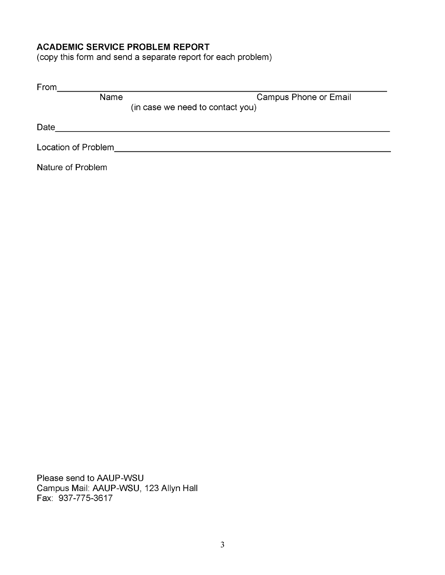#### **ACADEMIC SERVICE PROBLEM REPORT**

(copy this form and send a separate report for each problem)

| From                |      |                                  |
|---------------------|------|----------------------------------|
|                     | Name | Campus Phone or Email            |
|                     |      | (in case we need to contact you) |
| Date                |      |                                  |
| Location of Problem |      |                                  |
| Nature of Problem   |      |                                  |

Please send to AAUP-WSU Campus Mail: AAUP-WSU, 123 Allyn Hall Fax: 937-775-3617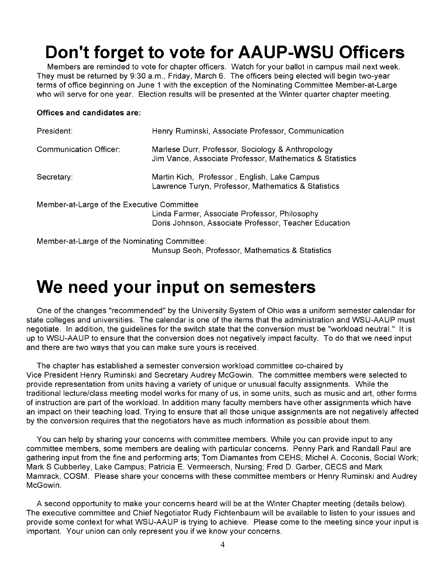### **Don't forget to vote for AAUP-WSU Officers**

Members are reminded to vote for chapter officers. Watch for your ballot in campus mail next week. They must be returned by 9:30 a.m., Friday, March 6. The officers being elected will begin two-year terms of office beginning on June 1 with the exception of the Nominating Committee Member-at-Large who will serve for one year. Election results will be presented at the Winter quarter chapter meeting.

#### **Offices and candidates are:**

| President:                                                                                                                                           | Henry Ruminski, Associate Professor, Communication                                                            |  |
|------------------------------------------------------------------------------------------------------------------------------------------------------|---------------------------------------------------------------------------------------------------------------|--|
| Communication Officer:                                                                                                                               | Marlese Durr, Professor, Sociology & Anthropology<br>Jim Vance, Associate Professor, Mathematics & Statistics |  |
| Secretary:                                                                                                                                           | Martin Kich, Professor, English, Lake Campus<br>Lawrence Turyn, Professor, Mathematics & Statistics           |  |
| Member-at-Large of the Executive Committee<br>Linda Farmer, Associate Professor, Philosophy<br>Doris Johnson, Associate Professor, Teacher Education |                                                                                                               |  |
| Member-at-Large of the Nominating Committee:                                                                                                         |                                                                                                               |  |

Munsup Seoh, Professor, Mathematics & Statistics

### **We need your input on semesters**

One of the changes "recommended" by the University System of Ohio was a uniform semester calendar for state colleges and universities. The calendar is one of the items that the administration and WSU-AAUP must negotiate. In addition, the guidelines for the switch state that the conversion must be "workload neutral." It is up to WSU-AAUP to ensure that the conversion does not negatively impact faculty. To do that we need input and there are two ways that you can make sure yours is received.

The chapter has established a semester conversion workload committee co-chaired by Vice President Henry Ruminski and Secretary Audrey McGowin. The committee members were selected to provide representation from units having a variety of unique or unusual faculty assignments. While the traditional lecture/class meeting model works for many of us, in some units, such as music and art, other forms of instruction are part of the workload. In addition many faculty members have other assignments which have an impact on their teaching load. Trying to ensure that all those unique assignments are not negatively affected by the conversion requires that the negotiators have as much information as possible about them.

You can help by sharing your concerns with committee members. While you can provide input to any committee members, some members are dealing with particular concerns. Penny Park and Randall Paul are gathering input from the fine and performing arts; Tom Diamantes from CEHS; Michel A. Coconis, Social Work; Mark S Cubberley, Lake Campus; Patricia E. Vermeersch, Nursing; Fred D. Garber, CECS and Mark Mamrack, COSM. Please share your concerns with these committee members or Henry Ruminski and Audrey McGowin.

A second opportunity to make your concerns heard will be at the Winter Chapter meeting (details below). The executive committee and Chief Negotiator Rudy Fichtenbaum will be available to listen to your issues and provide some context for what WSU-AAUP is trying to achieve. Please come to the meeting since your input is important. Your union can only represent you if we know your concerns.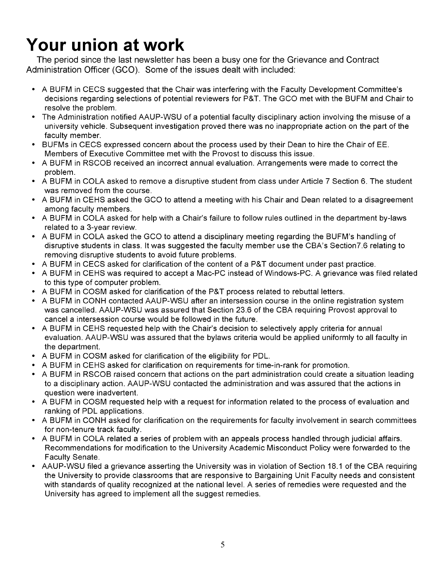## **Your union at work**

The period since the last newsletter has been a busy one for the Grievance and Contract Administration Officer (GCO). Some of the issues dealt with included:

- A BUFM in CECS suggested that the Chair was interfering with the Faculty Development Committee's decisions regarding selections of potential reviewers for P&T. The GCO met with the BUFM and Chair to resolve the problem.
- The Administration notified AAUP-WSU of a potential faculty disciplinary action involving the misuse of a university vehicle. Subsequent investigation proved there was no inappropriate action on the part of the faculty member.
- BUFMs in CECS expressed concern about the process used by their Dean to hire the Chair of EE. Members of Executive Committee met with the Provost to discuss this issue.
- A BUFM in RSCOB received an incorrect annual evaluation. Arrangements were made to correct the problem.
- A BUFM in COLA asked to remove a disruptive student from class under Article 7 Section 6. The student was removed from the course.
- A BUFM in CEHS asked the GCO to attend a meeting with his Chair and Dean related to a disagreement among faculty members.
- A BUFM in COLA asked for help with a Chair's failure to follow rules outlined in the department by-laws related to a 3-year review.
- A BUFM in COLA asked the GCO to attend a disciplinary meeting regarding the BUFM's handling of disruptive students in class. It was suggested the faculty member use the CBA's Section7.6 relating to removing disruptive students to avoid future problems.
- A BUFM in CECS asked for clarification of the content of a P&T document under past practice.
- A BUFM in CEHS was required to accept a Mac-PC instead of Windows-PC. A grievance was filed related to this type of computer problem.
- A BUFM in COSM asked for clarification of the P&T process related to rebuttal letters.
- A BUFM in CONH contacted AAUP-WSU after an intersession course in the online registration system was cancelled. AAUP-WSU was assured that Section 23.6 of the CBA requiring Provost approval to cancel a intersession course would be followed in the future.
- A BUFM in CEHS requested help with the Chair's decision to selectively apply criteria for annual evaluation. AAUP-WSU was assured that the bylaws criteria would be applied uniformly to all faculty in the department.
- A BUFM in COSM asked for clarification of the eligibility for POL.
- A BUFM in CEHS asked for clarification on requirements for time-in-rank for promotion.
- A BUFM in RSCOB raised concern that actions on the part administration could create a situation leading to a disciplinary action. AAUP-WSU contacted the administration and was assured that the actions in question were inadvertent.
- A BUFM in COSM requested help with a request for information related to the process of evaluation and ranking of POL applications.
- A BUFM in CONH asked for clarification on the requirements for faculty involvement in search committees for non-tenure track faculty.
- A BUFM in COLA related a series of problem with an appeals process handled through judicial affairs. Recommendations for modification to the University Academic Misconduct Policy were forwarded to the Faculty Senate.
- AAUP-WSU filed a grievance asserting the University was in violation of Section 18.1 of the CBA requiring the University to provide classrooms that are responsive to Bargaining Unit Faculty needs and consistent with standards of quality recognized at the national level. A series of remedies were requested and the University has agreed to implement all the suggest remedies.